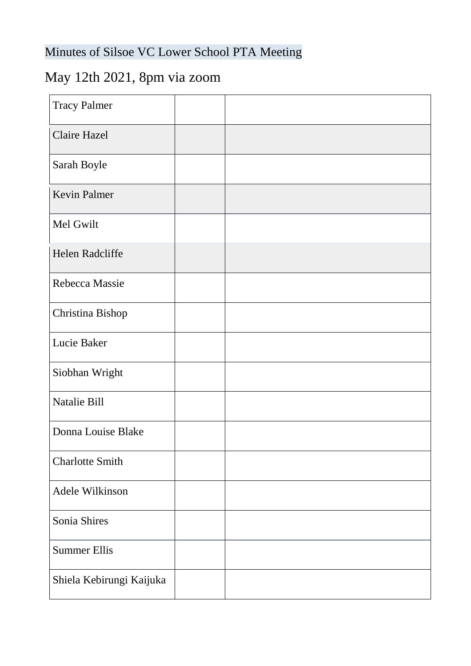## Minutes of Silsoe VC Lower School PTA Meeting

## May 12th 2021, 8pm via zoom

| <b>Tracy Palmer</b>      |  |
|--------------------------|--|
| <b>Claire Hazel</b>      |  |
| Sarah Boyle              |  |
| <b>Kevin Palmer</b>      |  |
| Mel Gwilt                |  |
| Helen Radcliffe          |  |
| Rebecca Massie           |  |
| Christina Bishop         |  |
| Lucie Baker              |  |
| Siobhan Wright           |  |
| Natalie Bill             |  |
| Donna Louise Blake       |  |
| <b>Charlotte Smith</b>   |  |
| Adele Wilkinson          |  |
| Sonia Shires             |  |
| <b>Summer Ellis</b>      |  |
| Shiela Kebirungi Kaijuka |  |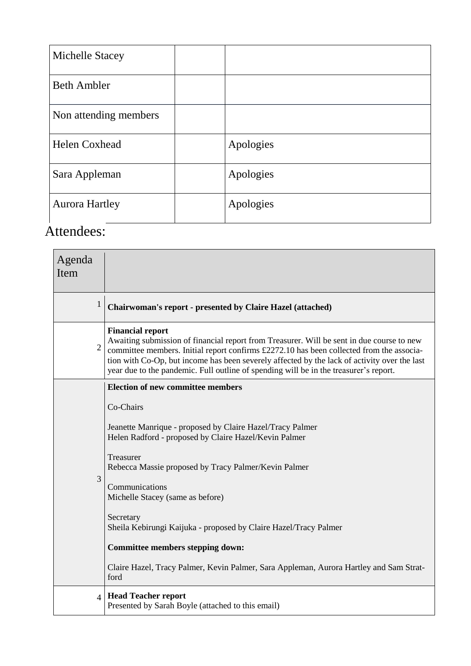| Michelle Stacey       |           |
|-----------------------|-----------|
| <b>Beth Ambler</b>    |           |
| Non attending members |           |
| <b>Helen Coxhead</b>  | Apologies |
| Sara Appleman         | Apologies |
| <b>Aurora Hartley</b> | Apologies |

## Attendees:

| Agenda<br>Item |                                                                                                                                                                                                                                                                                                                                                                                                           |
|----------------|-----------------------------------------------------------------------------------------------------------------------------------------------------------------------------------------------------------------------------------------------------------------------------------------------------------------------------------------------------------------------------------------------------------|
| 1              | Chairwoman's report - presented by Claire Hazel (attached)                                                                                                                                                                                                                                                                                                                                                |
| $\overline{2}$ | <b>Financial report</b><br>Awaiting submission of financial report from Treasurer. Will be sent in due course to new<br>committee members. Initial report confirms £2272.10 has been collected from the associa-<br>tion with Co-Op, but income has been severely affected by the lack of activity over the last<br>year due to the pandemic. Full outline of spending will be in the treasurer's report. |
|                | <b>Election of new committee members</b>                                                                                                                                                                                                                                                                                                                                                                  |
| 3              | Co-Chairs                                                                                                                                                                                                                                                                                                                                                                                                 |
|                | Jeanette Manrique - proposed by Claire Hazel/Tracy Palmer<br>Helen Radford - proposed by Claire Hazel/Kevin Palmer                                                                                                                                                                                                                                                                                        |
|                | Treasurer<br>Rebecca Massie proposed by Tracy Palmer/Kevin Palmer                                                                                                                                                                                                                                                                                                                                         |
|                | Communications<br>Michelle Stacey (same as before)                                                                                                                                                                                                                                                                                                                                                        |
|                | Secretary<br>Sheila Kebirungi Kaijuka - proposed by Claire Hazel/Tracy Palmer                                                                                                                                                                                                                                                                                                                             |
|                | Committee members stepping down:                                                                                                                                                                                                                                                                                                                                                                          |
|                | Claire Hazel, Tracy Palmer, Kevin Palmer, Sara Appleman, Aurora Hartley and Sam Strat-<br>ford                                                                                                                                                                                                                                                                                                            |
| $\overline{4}$ | <b>Head Teacher report</b><br>Presented by Sarah Boyle (attached to this email)                                                                                                                                                                                                                                                                                                                           |